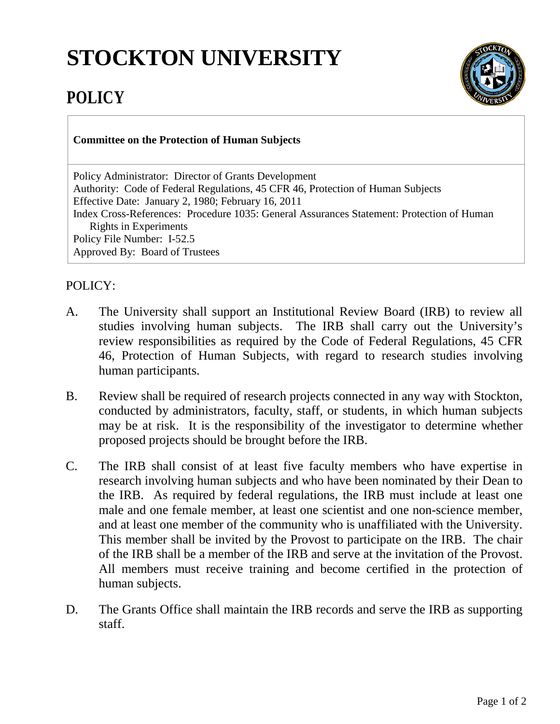## **STOCKTON UNIVERSITY**



## **POLICY**

## **Committee on the Protection of Human Subjects**

Policy Administrator: Director of Grants Development Authority: Code of Federal Regulations, 45 CFR 46, Protection of Human Subjects Effective Date: January 2, 1980; February 16, 2011 Index Cross-References: Procedure 1035: General Assurances Statement: Protection of Human Rights in Experiments Policy File Number: I-52.5 Approved By: Board of Trustees

## POLICY:

- A. The University shall support an Institutional Review Board (IRB) to review all studies involving human subjects. The IRB shall carry out the University's review responsibilities as required by the Code of Federal Regulations, 45 CFR 46, Protection of Human Subjects, with regard to research studies involving human participants.
- B. Review shall be required of research projects connected in any way with Stockton, conducted by administrators, faculty, staff, or students, in which human subjects may be at risk. It is the responsibility of the investigator to determine whether proposed projects [should be](http://should.be/) brought before the IRB.
- C. The IRB shall consist of at least five faculty members who have expertise in research involving human subjects and who have been nominated by their Dean to the IRB. As required by federal regulations, the IRB must include at least one male and one female member, at least one scientist and one non-science member, and at least one member of the community who is unaffiliated with the University. This member shall be invited by the Provost to participate on the IRB. The chair of the IRB shall be a member of the IRB and serve at the invitation of the Provost. All members must receive training and become certified in the protection of human subjects.
- D. The Grants Office shall maintain the IRB records and serve the IRB as supporting staff.